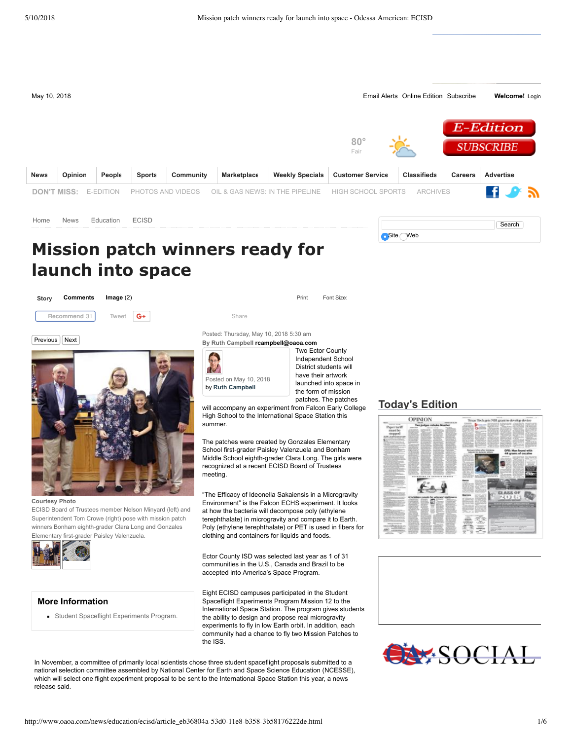

In November, a committee of primarily local scientists chose three student spaceflight proposals submitted to a national selection committee assembled by National Center for Earth and Space Science Education (NCESSE), which will select one flight experiment proposal to be sent to the International Space Station this year, a news release said.